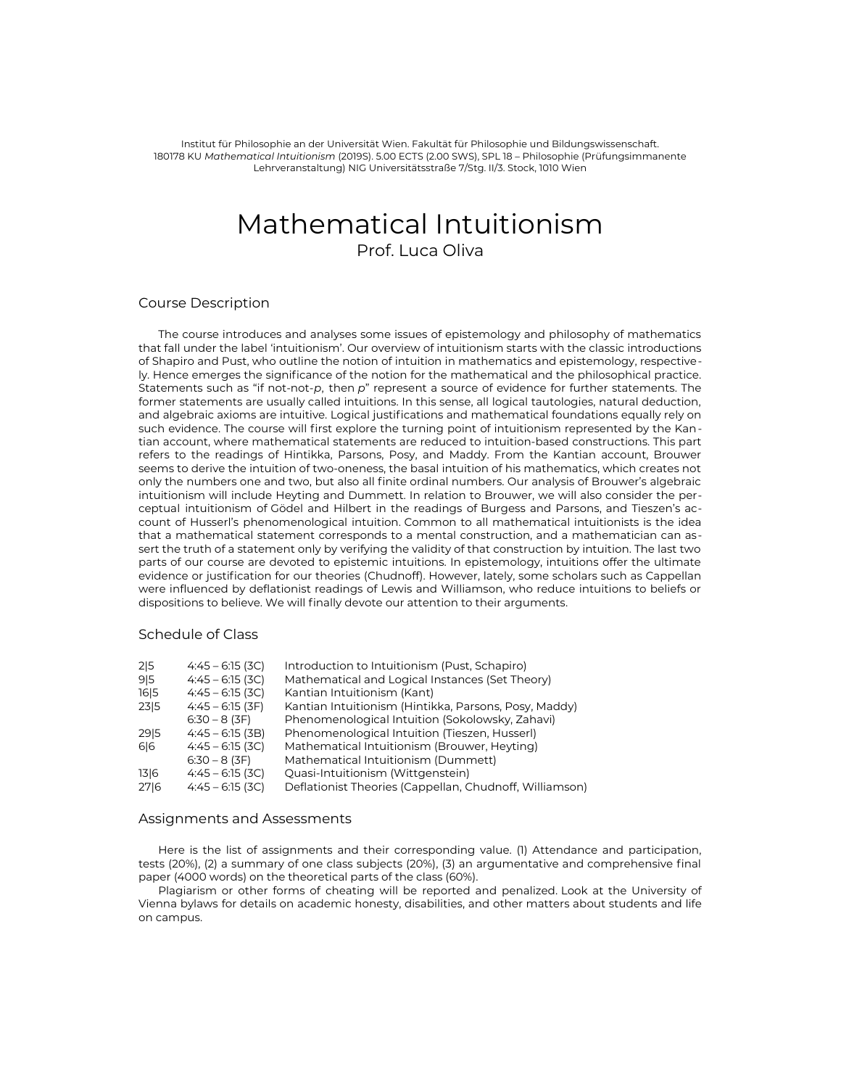Institut für Philosophie an der Universität Wien. Fakultät für Philosophie und Bildungswissenschaft. 180178 KU *Mathematical Intuitionism* (2019S). 5.00 ECTS (2.00 SWS), SPL 18 – Philosophie (Prüfungsimmanente Lehrveranstaltung) NIG Universitätsstraße 7/Stg. II/3. Stock, 1010 Wien

# Mathematical Intuitionism Prof. Luca Oliva

#### Course Description

The course introduces and analyses some issues of epistemology and philosophy of mathematics that fall under the label 'intuitionism'. Our overview of intuitionism starts with the classic introductions of Shapiro and Pust, who outline the notion of intuition in mathematics and epistemology, respectively. Hence emerges the signifcance of the notion for the mathematical and the philosophical practice. Statements such as "if not-not-*p*, then *p*" represent a source of evidence for further statements. The former statements are usually called intuitions. In this sense, all logical tautologies, natural deduction, and algebraic axioms are intuitive. Logical justifcations and mathematical foundations equally rely on such evidence. The course will first explore the turning point of intuitionism represented by the Kantian account, where mathematical statements are reduced to intuition-based constructions. This part refers to the readings of Hintikka, Parsons, Posy, and Maddy. From the Kantian account, Brouwer seems to derive the intuition of two-oneness, the basal intuition of his mathematics, which creates not only the numbers one and two, but also all finite ordinal numbers. Our analysis of Brouwer's algebraic intuitionism will include Heyting and Dummett. In relation to Brouwer, we will also consider the perceptual intuitionism of Gödel and Hilbert in the readings of Burgess and Parsons, and Tieszen's account of Husserl's phenomenological intuition. Common to all mathematical intuitionists is the idea that a mathematical statement corresponds to a mental construction, and a mathematician can assert the truth of a statement only by verifying the validity of that construction by intuition. The last two parts of our course are devoted to epistemic intuitions. In epistemology, intuitions offer the ultimate evidence or justifcation for our theories (Chudnoff). However, lately, some scholars such as Cappellan were infuenced by defationist readings of Lewis and Williamson, who reduce intuitions to beliefs or dispositions to believe. We will finally devote our attention to their arguments.

### Schedule of Class

| 2 5  | $4:45 - 6:15$ (3C) | Introduction to Intuitionism (Pust, Schapiro)           |
|------|--------------------|---------------------------------------------------------|
| 915  | $4:45 - 6:15$ (3C) | Mathematical and Logical Instances (Set Theory)         |
| 16 5 | $4:45 - 6:15$ (3C) | Kantian Intuitionism (Kant)                             |
| 23 5 | $4:45 - 6:15$ (3F) | Kantian Intuitionism (Hintikka, Parsons, Posy, Maddy)   |
|      | $6:30 - 8(3F)$     | Phenomenological Intuition (Sokolowsky, Zahavi)         |
| 2915 | $4:45 - 6:15$ (3B) | Phenomenological Intuition (Tieszen, Husserl)           |
| 6 6  | $4:45 - 6:15$ (3C) | Mathematical Intuitionism (Brouwer, Heyting)            |
|      | $6:30 - 8(3F)$     | Mathematical Intuitionism (Dummett)                     |
| 13 6 | $4:45 - 6:15$ (3C) | Quasi-Intuitionism (Wittgenstein)                       |
| 27 6 | $4:45 - 6:15$ (3C) | Deflationist Theories (Cappellan, Chudnoff, Williamson) |
|      |                    |                                                         |

#### Assignments and Assessments

Here is the list of assignments and their corresponding value. (1) Attendance and participation, tests (20%), (2) a summary of one class subjects (20%), (3) an argumentative and comprehensive fnal paper (4000 words) on the theoretical parts of the class (60%).

Plagiarism or other forms of cheating will be reported and penalized. Look at the University of Vienna bylaws for details on academic honesty, disabilities, and other matters about students and life on campus.